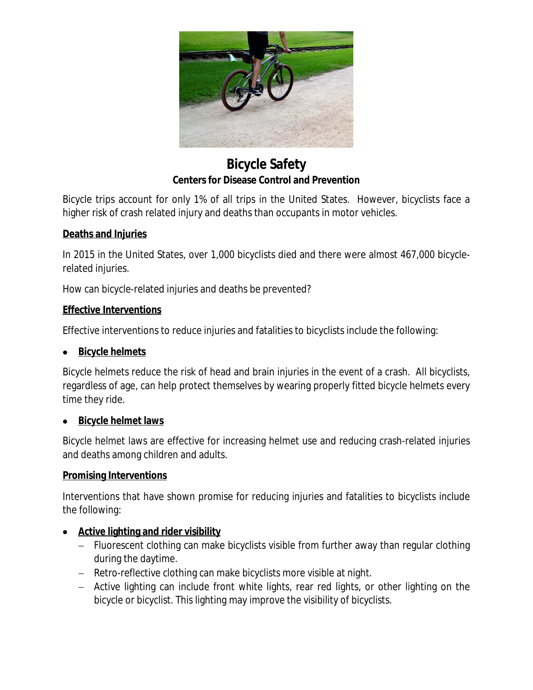

**Bicycle Safety Centers for Disease Control and Prevention**

Bicycle trips account for only 1% of all trips in the United States. However, bicyclists face a higher risk of crash related injury and deaths than occupants in motor vehicles.

# **Deaths and Injuries**

In 2015 in the United States, over 1,000 bicyclists died and there were almost 467,000 bicyclerelated injuries.

How can bicycle-related injuries and deaths be prevented?

### **Effective Interventions**

Effective interventions to reduce injuries and fatalities to bicyclists include the following:

### **Bicycle helmets**

Bicycle helmets reduce the risk of head and brain injuries in the event of a crash. All bicyclists, regardless of age, can help protect themselves by wearing properly fitted bicycle helmets every time they ride.

### **Bicycle helmet laws**

Bicycle helmet laws are effective for increasing helmet use and reducing crash-related injuries and deaths among children and adults.

### **Promising Interventions**

Interventions that have shown promise for reducing injuries and fatalities to bicyclists include the following:

### **Active lighting and rider visibility**

- Fluorescent clothing can make bicyclists visible from further away than regular clothing during the daytime.
- Retro-reflective clothing can make bicyclists more visible at night.
- Active lighting can include front white lights, rear red lights, or other lighting on the bicycle or bicyclist. This lighting may improve the visibility of bicyclists.